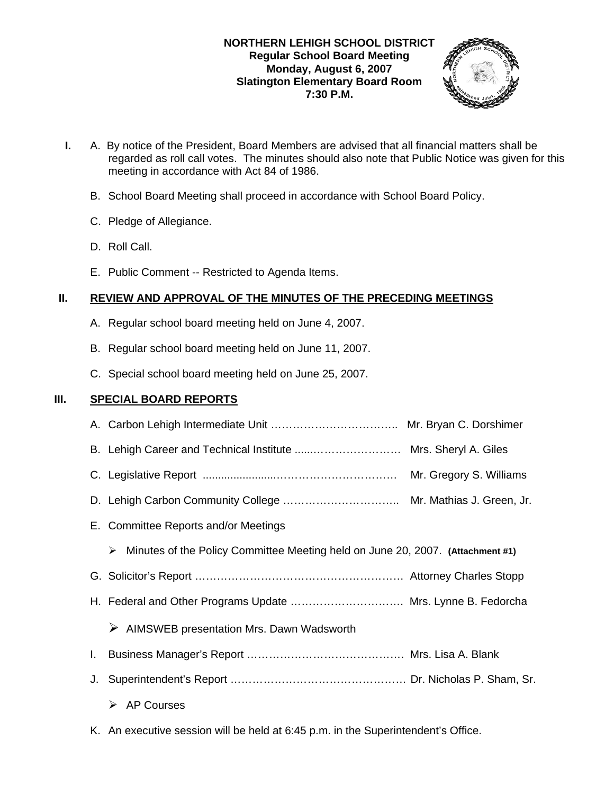## **NORTHERN LEHIGH SCHOOL DISTRICT Regular School Board Meeting Monday, August 6, 2007 Slatington Elementary Board Room 7:30 P.M.**



- **I.** A. By notice of the President, Board Members are advised that all financial matters shall be regarded as roll call votes. The minutes should also note that Public Notice was given for this meeting in accordance with Act 84 of 1986.
	- B. School Board Meeting shall proceed in accordance with School Board Policy.
	- C. Pledge of Allegiance.
	- D. Roll Call.
	- E. Public Comment -- Restricted to Agenda Items.

# **II. REVIEW AND APPROVAL OF THE MINUTES OF THE PRECEDING MEETINGS**

- A. Regular school board meeting held on June 4, 2007.
- B. Regular school board meeting held on June 11, 2007.
- C. Special school board meeting held on June 25, 2007.

## **III. SPECIAL BOARD REPORTS**

- A. Carbon Lehigh Intermediate Unit …………………………….. Mr. Bryan C. Dorshimer B. Lehigh Career and Technical Institute ......…………………… Mrs. Sheryl A. Giles C. Legislative Report ........................…………………………… Mr. Gregory S. Williams D. Lehigh Carbon Community College ………………………….. Mr. Mathias J. Green, Jr. E. Committee Reports and/or Meetings ¾ Minutes of the Policy Committee Meeting held on June 20, 2007. **(Attachment #1)** G. Solicitor's Report ………………………………………………… Attorney Charles Stopp H. Federal and Other Programs Update …………………………. Mrs. Lynne B. Fedorcha  $\triangleright$  AIMSWEB presentation Mrs. Dawn Wadsworth I. Business Manager's Report ……………………………………. Mrs. Lisa A. Blank J. Superintendent's Report ………………………………………… Dr. Nicholas P. Sham, Sr.  $\triangleright$  AP Courses
	- K. An executive session will be held at 6:45 p.m. in the Superintendent's Office.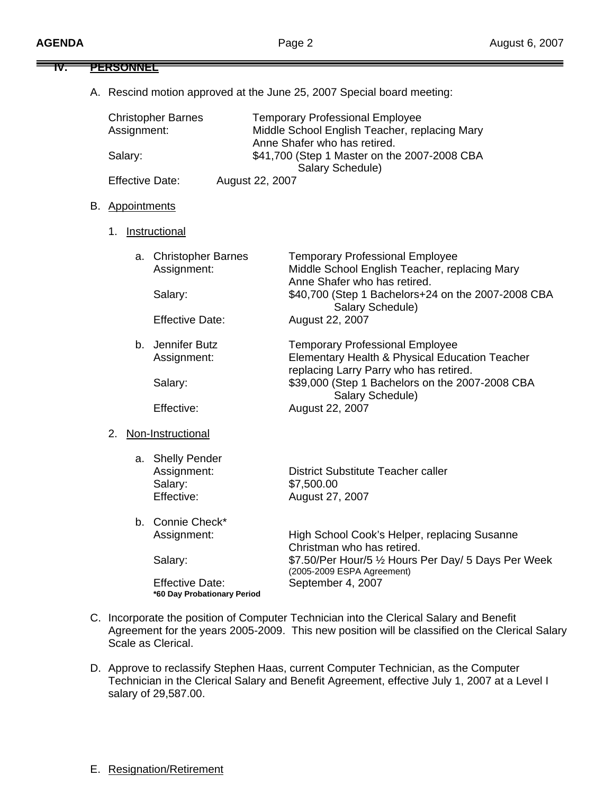**IV. PERSONNEL**

| Assignment:            | <b>Christopher Barnes</b>                                | <b>Temporary Professional Employee</b><br>Middle School English Teacher, replacing Mary                                            |
|------------------------|----------------------------------------------------------|------------------------------------------------------------------------------------------------------------------------------------|
| Salary:                |                                                          | Anne Shafer who has retired.<br>\$41,700 (Step 1 Master on the 2007-2008 CBA<br>Salary Schedule)                                   |
| <b>Effective Date:</b> |                                                          | August 22, 2007                                                                                                                    |
| B. Appointments        |                                                          |                                                                                                                                    |
| 1.                     | Instructional                                            |                                                                                                                                    |
|                        | a. Christopher Barnes<br>Assignment:                     | <b>Temporary Professional Employee</b><br>Middle School English Teacher, replacing Mary                                            |
|                        | Salary:                                                  | Anne Shafer who has retired.<br>\$40,700 (Step 1 Bachelors+24 on the 2007-2008 CBA<br>Salary Schedule)                             |
|                        | <b>Effective Date:</b>                                   | August 22, 2007                                                                                                                    |
|                        | b. Jennifer Butz<br>Assignment:                          | <b>Temporary Professional Employee</b><br>Elementary Health & Physical Education Teacher<br>replacing Larry Parry who has retired. |
|                        | Salary:                                                  | \$39,000 (Step 1 Bachelors on the 2007-2008 CBA<br>Salary Schedule)                                                                |
|                        | Effective:                                               | August 22, 2007                                                                                                                    |
| 2.                     | Non-Instructional                                        |                                                                                                                                    |
|                        | a. Shelly Pender<br>Assignment:<br>Salary:<br>Effective: | <b>District Substitute Teacher caller</b><br>\$7,500.00<br>August 27, 2007                                                         |
|                        | b. Connie Check*<br>Assignment:                          | High School Cook's Helper, replacing Susanne<br>Christman who has retired.                                                         |
|                        | Salary:                                                  | \$7.50/Per Hour/5 1/2 Hours Per Day/ 5 Days Per Week<br>(2005-2009 ESPA Agreement)                                                 |
|                        | <b>Effective Date:</b><br>*60 Day Probationary Period    | September 4, 2007                                                                                                                  |

- Agreement for the years 2005-2009. This new position will be classified on the Clerical Salary Scale as Clerical.
- D. Approve to reclassify Stephen Haas, current Computer Technician, as the Computer Technician in the Clerical Salary and Benefit Agreement, effective July 1, 2007 at a Level I salary of 29,587.00.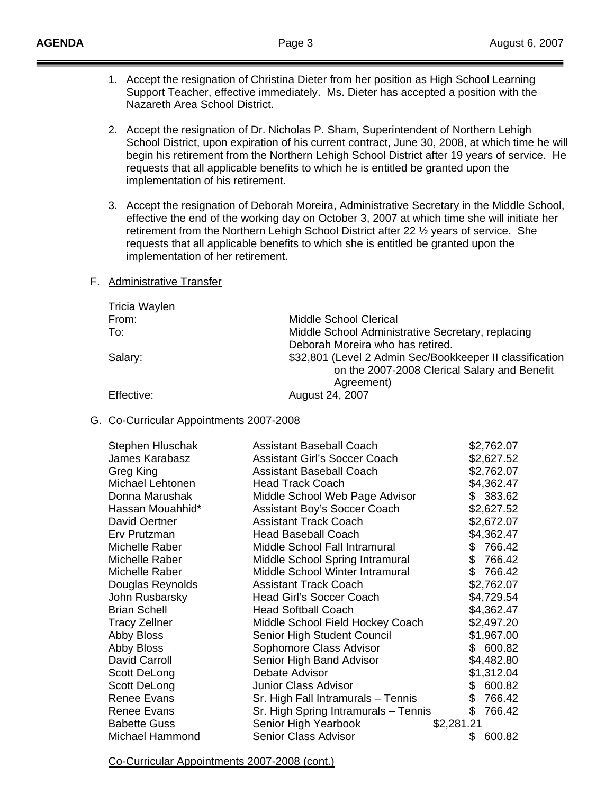- 1. Accept the resignation of Christina Dieter from her position as High School Learning Support Teacher, effective immediately. Ms. Dieter has accepted a position with the Nazareth Area School District.
- 2. Accept the resignation of Dr. Nicholas P. Sham, Superintendent of Northern Lehigh School District, upon expiration of his current contract, June 30, 2008, at which time he will begin his retirement from the Northern Lehigh School District after 19 years of service. He requests that all applicable benefits to which he is entitled be granted upon the implementation of his retirement.
- 3. Accept the resignation of Deborah Moreira, Administrative Secretary in the Middle School, effective the end of the working day on October 3, 2007 at which time she will initiate her retirement from the Northern Lehigh School District after 22 ½ years of service. She requests that all applicable benefits to which she is entitled be granted upon the implementation of her retirement.

### F. Administrative Transfer

| Tricia Waylen |                                                                                                          |
|---------------|----------------------------------------------------------------------------------------------------------|
| From:         | Middle School Clerical                                                                                   |
| To:           | Middle School Administrative Secretary, replacing                                                        |
|               | Deborah Moreira who has retired.                                                                         |
| Salary:       | \$32,801 (Level 2 Admin Sec/Bookkeeper II classification<br>on the 2007-2008 Clerical Salary and Benefit |
|               | Agreement)                                                                                               |
| Effective:    | August 24, 2007                                                                                          |

### G. Co-Curricular Appointments 2007-2008

| Stephen Hluschak       | Assistant Baseball Coach             | \$2,762.07    |
|------------------------|--------------------------------------|---------------|
| James Karabasz         | <b>Assistant Girl's Soccer Coach</b> | \$2,627.52    |
| Greg King              | <b>Assistant Baseball Coach</b>      | \$2,762.07    |
| Michael Lehtonen       | <b>Head Track Coach</b>              | \$4,362.47    |
| Donna Marushak         | Middle School Web Page Advisor       | \$ 383.62     |
| Hassan Mouahhid*       | Assistant Boy's Soccer Coach         | \$2,627.52    |
| David Oertner          | <b>Assistant Track Coach</b>         | \$2,672.07    |
| Erv Prutzman           | <b>Head Baseball Coach</b>           | \$4,362.47    |
| Michelle Raber         | Middle School Fall Intramural        | 766.42<br>\$  |
| Michelle Raber         | Middle School Spring Intramural      | \$<br>766.42  |
| Michelle Raber         | Middle School Winter Intramural      | \$<br>766.42  |
| Douglas Reynolds       | <b>Assistant Track Coach</b>         | \$2,762.07    |
| John Rusbarsky         | <b>Head Girl's Soccer Coach</b>      | \$4,729.54    |
| <b>Brian Schell</b>    | <b>Head Softball Coach</b>           | \$4,362.47    |
| <b>Tracy Zellner</b>   | Middle School Field Hockey Coach     | \$2,497.20    |
| <b>Abby Bloss</b>      | Senior High Student Council          | \$1,967.00    |
| <b>Abby Bloss</b>      | Sophomore Class Advisor              | \$600.82      |
| David Carroll          | Senior High Band Advisor             | \$4,482.80    |
| Scott DeLong           | Debate Advisor                       | \$1,312.04    |
| Scott DeLong           | <b>Junior Class Advisor</b>          | 600.82<br>\$. |
| <b>Renee Evans</b>     | Sr. High Fall Intramurals - Tennis   | \$<br>766.42  |
| Renee Evans            | Sr. High Spring Intramurals - Tennis | \$<br>766.42  |
| <b>Babette Guss</b>    | Senior High Yearbook                 | \$2,281.21    |
| <b>Michael Hammond</b> | <b>Senior Class Advisor</b>          | \$<br>600.82  |

Co-Curricular Appointments 2007-2008 (cont.)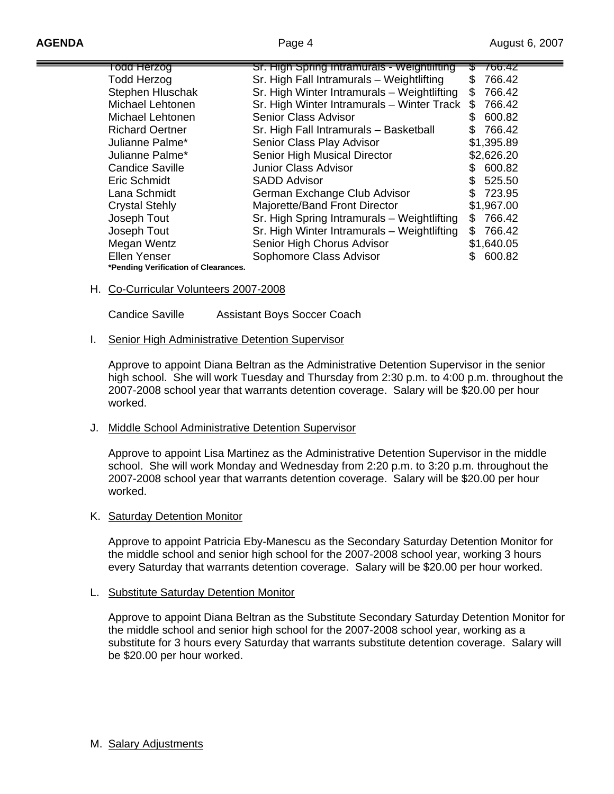| <del>Todd Herzog</del>               | Sr. High Spring Intramurals - Weightlifting | ᠴ   | 766.42     |
|--------------------------------------|---------------------------------------------|-----|------------|
| <b>Todd Herzog</b>                   | Sr. High Fall Intramurals - Weightlifting   |     | 766.42     |
| Stephen Hluschak                     | Sr. High Winter Intramurals - Weightlifting |     | 766.42     |
| Michael Lehtonen                     | Sr. High Winter Intramurals - Winter Track  | £.  | 766.42     |
| Michael Lehtonen                     | <b>Senior Class Advisor</b>                 | SS  | 600.82     |
| <b>Richard Oertner</b>               | Sr. High Fall Intramurals - Basketball      |     | 766.42     |
| Julianne Palme*                      | Senior Class Play Advisor                   |     | \$1,395.89 |
| Julianne Palme*                      | Senior High Musical Director                |     | \$2,626.20 |
| <b>Candice Saville</b>               | <b>Junior Class Advisor</b>                 | S   | 600.82     |
| Eric Schmidt                         | <b>SADD Advisor</b>                         |     | 525.50     |
| Lana Schmidt                         | German Exchange Club Advisor                | S.  | 723.95     |
| <b>Crystal Stehly</b>                | Majorette/Band Front Director               |     | \$1,967.00 |
| Joseph Tout                          | Sr. High Spring Intramurals - Weightlifting | S   | 766.42     |
| Joseph Tout                          | Sr. High Winter Intramurals - Weightlifting | \$. | 766.42     |
| Megan Wentz                          | Senior High Chorus Advisor                  |     | \$1,640.05 |
| Ellen Yenser                         | Sophomore Class Advisor                     |     | 600.82     |
| *Pending Verification of Clearances. |                                             |     |            |

### H. Co-Curricular Volunteers 2007-2008

Candice Saville Assistant Boys Soccer Coach

#### **I.** Senior High Administrative Detention Supervisor

 Approve to appoint Diana Beltran as the Administrative Detention Supervisor in the senior high school. She will work Tuesday and Thursday from 2:30 p.m. to 4:00 p.m. throughout the 2007-2008 school year that warrants detention coverage. Salary will be \$20.00 per hour worked.

### J. Middle School Administrative Detention Supervisor

 Approve to appoint Lisa Martinez as the Administrative Detention Supervisor in the middle school. She will work Monday and Wednesday from 2:20 p.m. to 3:20 p.m. throughout the 2007-2008 school year that warrants detention coverage. Salary will be \$20.00 per hour worked.

### K. Saturday Detention Monitor

 Approve to appoint Patricia Eby-Manescu as the Secondary Saturday Detention Monitor for the middle school and senior high school for the 2007-2008 school year, working 3 hours every Saturday that warrants detention coverage. Salary will be \$20.00 per hour worked.

### L. Substitute Saturday Detention Monitor

 Approve to appoint Diana Beltran as the Substitute Secondary Saturday Detention Monitor for the middle school and senior high school for the 2007-2008 school year, working as a substitute for 3 hours every Saturday that warrants substitute detention coverage. Salary will be \$20.00 per hour worked.

M. Salary Adjustments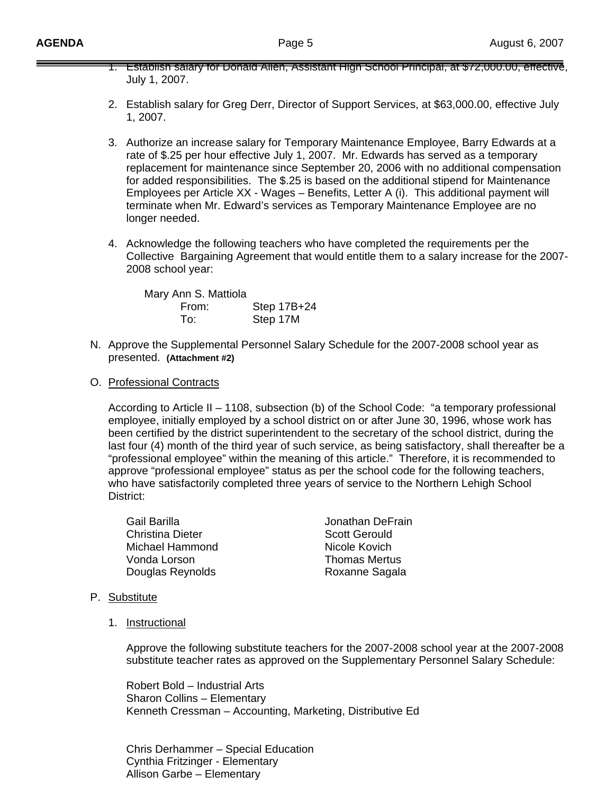| 1. Establish salary for Donald Allen, Assistant High School Principal, at \$72,000.00, effective,<br>July 1, 2007.                                                                                                                                                                                                                                                                                                                                                                                                                                                                                                                                                                                          |
|-------------------------------------------------------------------------------------------------------------------------------------------------------------------------------------------------------------------------------------------------------------------------------------------------------------------------------------------------------------------------------------------------------------------------------------------------------------------------------------------------------------------------------------------------------------------------------------------------------------------------------------------------------------------------------------------------------------|
| 2. Establish salary for Greg Derr, Director of Support Services, at \$63,000.00, effective July<br>1, 2007.                                                                                                                                                                                                                                                                                                                                                                                                                                                                                                                                                                                                 |
| 3. Authorize an increase salary for Temporary Maintenance Employee, Barry Edwards at a<br>rate of \$.25 per hour effective July 1, 2007. Mr. Edwards has served as a temporary<br>replacement for maintenance since September 20, 2006 with no additional compensation<br>for added responsibilities. The \$.25 is based on the additional stipend for Maintenance<br>Employees per Article XX - Wages - Benefits, Letter A (i). This additional payment will<br>terminate when Mr. Edward's services as Temporary Maintenance Employee are no<br>longer needed.                                                                                                                                            |
| 4. Acknowledge the following teachers who have completed the requirements per the<br>Collective Bargaining Agreement that would entitle them to a salary increase for the 2007-<br>2008 school year:                                                                                                                                                                                                                                                                                                                                                                                                                                                                                                        |
| Mary Ann S. Mattiola<br>Step 17B+24<br>From:<br>Step 17M<br>To:                                                                                                                                                                                                                                                                                                                                                                                                                                                                                                                                                                                                                                             |
| N. Approve the Supplemental Personnel Salary Schedule for the 2007-2008 school year as<br>presented. (Attachment #2)                                                                                                                                                                                                                                                                                                                                                                                                                                                                                                                                                                                        |
| O. Professional Contracts                                                                                                                                                                                                                                                                                                                                                                                                                                                                                                                                                                                                                                                                                   |
| According to Article II - 1108, subsection (b) of the School Code: "a temporary professional<br>employee, initially employed by a school district on or after June 30, 1996, whose work has<br>been certified by the district superintendent to the secretary of the school district, during the<br>last four (4) month of the third year of such service, as being satisfactory, shall thereafter be a<br>"professional employee" within the meaning of this article." Therefore, it is recommended to<br>approve "professional employee" status as per the school code for the following teachers,<br>who have satisfactorily completed three years of service to the Northern Lehigh School<br>District: |
| Gail Barilla<br>Jonathan DeFrain<br><b>Christina Dieter</b><br><b>Scott Gerould</b><br>Michael Hammond<br>Nicole Kovich<br><b>Thomas Mertus</b><br>Vonda Lorson<br>Douglas Reynolds<br>Roxanne Sagala                                                                                                                                                                                                                                                                                                                                                                                                                                                                                                       |
| P. Substitute                                                                                                                                                                                                                                                                                                                                                                                                                                                                                                                                                                                                                                                                                               |
| Instructional<br>1.                                                                                                                                                                                                                                                                                                                                                                                                                                                                                                                                                                                                                                                                                         |
| Approve the following substitute teachers for the 2007-2008 school year at the 2007-2008<br>substitute teacher rates as approved on the Supplementary Personnel Salary Schedule:                                                                                                                                                                                                                                                                                                                                                                                                                                                                                                                            |
| Robert Bold - Industrial Arts<br>Sharon Collins - Elementary                                                                                                                                                                                                                                                                                                                                                                                                                                                                                                                                                                                                                                                |

Kenneth Cressman – Accounting, Marketing, Distributive Ed

Chris Derhammer – Special Education Cynthia Fritzinger - Elementary Allison Garbe – Elementary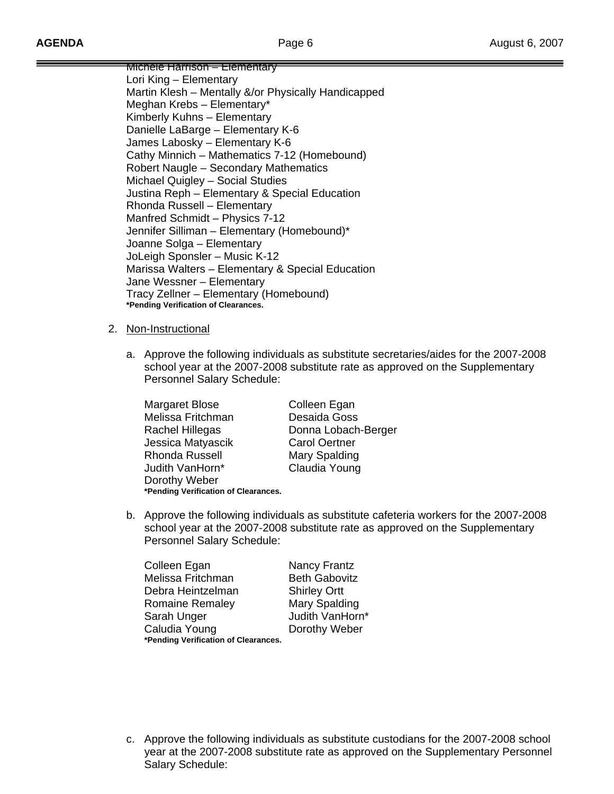Michele Harrison – Elementary Lori King – Elementary Martin Klesh – Mentally &/or Physically Handicapped Meghan Krebs – Elementary\* Kimberly Kuhns – Elementary Danielle LaBarge – Elementary K-6 James Labosky – Elementary K-6 Cathy Minnich – Mathematics 7-12 (Homebound) Robert Naugle – Secondary Mathematics Michael Quigley – Social Studies Justina Reph – Elementary & Special Education Rhonda Russell – Elementary Manfred Schmidt – Physics 7-12 Jennifer Silliman – Elementary (Homebound)\* Joanne Solga – Elementary JoLeigh Sponsler – Music K-12 Marissa Walters – Elementary & Special Education Jane Wessner – Elementary Tracy Zellner – Elementary (Homebound) **\*Pending Verification of Clearances.** 

### 2. Non-Instructional

a. Approve the following individuals as substitute secretaries/aides for the 2007-2008 school year at the 2007-2008 substitute rate as approved on the Supplementary Personnel Salary Schedule:

| Margaret Blose                       | Colleen Egan         |
|--------------------------------------|----------------------|
| Melissa Fritchman                    | Desaida Goss         |
| Rachel Hillegas                      | Donna Lobach-Berger  |
| Jessica Matyascik                    | <b>Carol Oertner</b> |
| <b>Rhonda Russell</b>                | Mary Spalding        |
| Judith VanHorn*                      | Claudia Young        |
| Dorothy Weber                        |                      |
| *Pending Verification of Clearances. |                      |

b. Approve the following individuals as substitute cafeteria workers for the 2007-2008 school year at the 2007-2008 substitute rate as approved on the Supplementary Personnel Salary Schedule:

| Colleen Egan                         | Nancy Frantz         |
|--------------------------------------|----------------------|
| Melissa Fritchman                    | <b>Beth Gabovitz</b> |
| Debra Heintzelman                    | <b>Shirley Ortt</b>  |
| <b>Romaine Remaley</b>               | Mary Spalding        |
| Sarah Unger                          | Judith VanHorn*      |
| Caludia Young                        | Dorothy Weber        |
| *Pending Verification of Clearances. |                      |

c. Approve the following individuals as substitute custodians for the 2007-2008 school year at the 2007-2008 substitute rate as approved on the Supplementary Personnel Salary Schedule: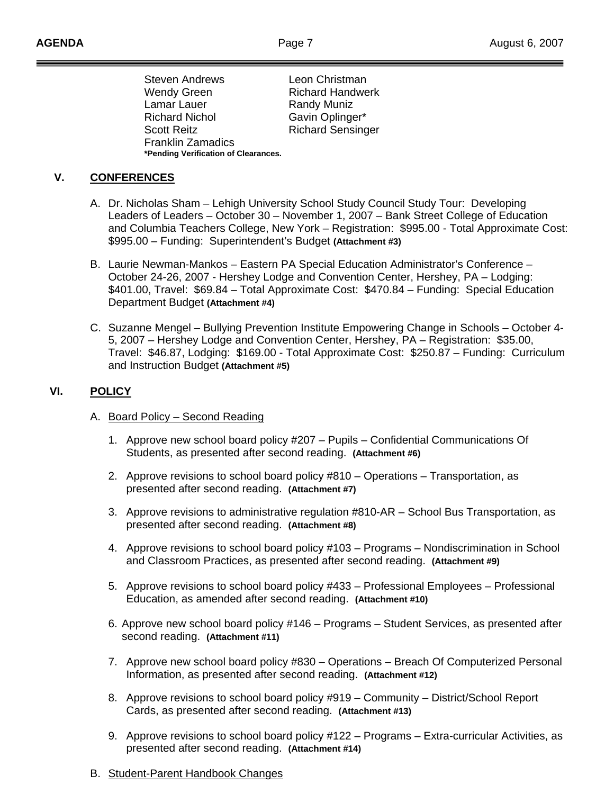Steven Andrews Leon Christman Wendy Green Richard Handwerk Lamar Lauer Randy Muniz Richard Nichol Gavin Oplinger\* Scott Reitz **Richard Sensinger**  Franklin Zamadics **\*Pending Verification of Clearances.** 

# **V. CONFERENCES**

- A. Dr. Nicholas Sham Lehigh University School Study Council Study Tour: Developing Leaders of Leaders – October 30 – November 1, 2007 – Bank Street College of Education and Columbia Teachers College, New York – Registration: \$995.00 - Total Approximate Cost: \$995.00 – Funding: Superintendent's Budget **(Attachment #3)**
- B. Laurie Newman-Mankos Eastern PA Special Education Administrator's Conference October 24-26, 2007 - Hershey Lodge and Convention Center, Hershey, PA – Lodging: \$401.00, Travel: \$69.84 – Total Approximate Cost: \$470.84 – Funding: Special Education Department Budget **(Attachment #4)**
- C. Suzanne Mengel Bullying Prevention Institute Empowering Change in Schools October 4- 5, 2007 – Hershey Lodge and Convention Center, Hershey, PA – Registration: \$35.00, Travel: \$46.87, Lodging: \$169.00 - Total Approximate Cost: \$250.87 – Funding: Curriculum and Instruction Budget **(Attachment #5)**

# **VI. POLICY**

- A. Board Policy Second Reading
	- 1. Approve new school board policy #207 Pupils Confidential Communications Of Students, as presented after second reading. **(Attachment #6)**
	- 2. Approve revisions to school board policy #810 Operations Transportation, as presented after second reading. **(Attachment #7)**
	- 3. Approve revisions to administrative regulation #810-AR School Bus Transportation, as presented after second reading. **(Attachment #8)**
	- 4. Approve revisions to school board policy #103 Programs Nondiscrimination in School and Classroom Practices, as presented after second reading. **(Attachment #9)**
	- 5. Approve revisions to school board policy #433 Professional Employees Professional Education, as amended after second reading. **(Attachment #10)**
	- 6. Approve new school board policy #146 Programs Student Services, as presented after second reading. **(Attachment #11)**
	- 7. Approve new school board policy #830 Operations Breach Of Computerized Personal Information, as presented after second reading. **(Attachment #12)**
	- 8. Approve revisions to school board policy #919 Community District/School Report Cards, as presented after second reading. **(Attachment #13)**
	- 9. Approve revisions to school board policy #122 Programs Extra-curricular Activities, as presented after second reading. **(Attachment #14)**
- B. Student-Parent Handbook Changes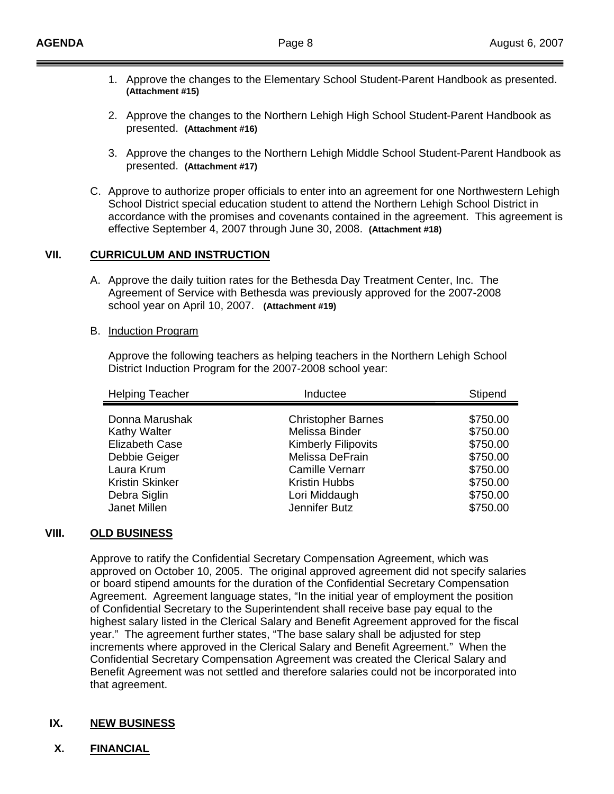- 1. Approve the changes to the Elementary School Student-Parent Handbook as presented. **(Attachment #15)**
- 2. Approve the changes to the Northern Lehigh High School Student-Parent Handbook as presented. **(Attachment #16)**
- 3. Approve the changes to the Northern Lehigh Middle School Student-Parent Handbook as presented. **(Attachment #17)**
- C. Approve to authorize proper officials to enter into an agreement for one Northwestern Lehigh School District special education student to attend the Northern Lehigh School District in accordance with the promises and covenants contained in the agreement. This agreement is effective September 4, 2007 through June 30, 2008. **(Attachment #18)**

### **VII. CURRICULUM AND INSTRUCTION**

A. Approve the daily tuition rates for the Bethesda Day Treatment Center, Inc. The Agreement of Service with Bethesda was previously approved for the 2007-2008 school year on April 10, 2007. **(Attachment #19)**

### B. Induction Program

 Approve the following teachers as helping teachers in the Northern Lehigh School District Induction Program for the 2007-2008 school year:

| <b>Helping Teacher</b> | Inductee                   | Stipend  |
|------------------------|----------------------------|----------|
| Donna Marushak         | <b>Christopher Barnes</b>  | \$750.00 |
| <b>Kathy Walter</b>    | Melissa Binder             | \$750.00 |
| <b>Elizabeth Case</b>  | <b>Kimberly Filipovits</b> | \$750.00 |
| Debbie Geiger          | Melissa DeFrain            | \$750.00 |
| Laura Krum             | <b>Camille Vernarr</b>     | \$750.00 |
| <b>Kristin Skinker</b> | <b>Kristin Hubbs</b>       | \$750.00 |
| Debra Siglin           | Lori Middaugh              | \$750.00 |
| Janet Millen           | Jennifer Butz              | \$750.00 |

## **VIII. OLD BUSINESS**

 Approve to ratify the Confidential Secretary Compensation Agreement, which was approved on October 10, 2005. The original approved agreement did not specify salaries or board stipend amounts for the duration of the Confidential Secretary Compensation Agreement. Agreement language states, "In the initial year of employment the position of Confidential Secretary to the Superintendent shall receive base pay equal to the highest salary listed in the Clerical Salary and Benefit Agreement approved for the fiscal year." The agreement further states, "The base salary shall be adjusted for step increments where approved in the Clerical Salary and Benefit Agreement." When the Confidential Secretary Compensation Agreement was created the Clerical Salary and Benefit Agreement was not settled and therefore salaries could not be incorporated into that agreement.

## **IX. NEW BUSINESS**

**X. FINANCIAL**